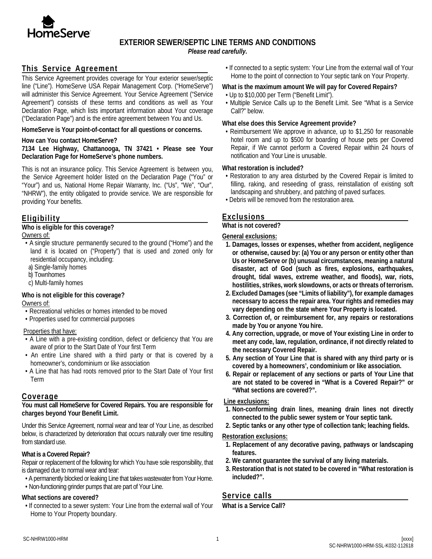

# **EXTERIOR SEWER/SEPTIC LINE TERMS AND CONDITIONS**

*Please read carefully.*

# **This Service Agreement**

This Service Agreement provides coverage for Your exterior sewer/septic line ("Line"). HomeServe USA Repair Management Corp. ("HomeServe") will administer this Service Agreement. Your Service Agreement ("Service Agreement") consists of these terms and conditions as well as Your Declaration Page, which lists important information about Your coverage ("Declaration Page") and is the entire agreement between You and Us.

### **HomeServe is Your point-of-contact for all questions or concerns.**

#### **How can You contact HomeServe?**

**7134 Lee Highway, Chattanooga, TN 37421 • Please see Your Declaration Page for HomeServe's phone numbers.** 

This is not an insurance policy. This Service Agreement is between you, the Service Agreement holder listed on the Declaration Page ("You" or "Your") and us, National Home Repair Warranty, Inc. ("Us", "We", "Our", "NHRW"), the entity obligated to provide service. We are responsible for providing Your benefits.

# **Eligibility**

**Who is eligible for this coverage?** Owners of:

- A single structure permanently secured to the ground ("Home") and the land it is located on ("Property") that is used and zoned only for residential occupancy, including:
- a) Single-family homes
- b) Townhomes
- c) Multi-family homes

### **Who is not eligible for this coverage?**

Owners of:

- Recreational vehicles or homes intended to be moved
- Properties used for commercial purposes

### Properties that have:

- A Line with a pre-existing condition, defect or deficiency that You are aware of prior to the Start Date of Your first Term
- An entire Line shared with a third party or that is covered by a homeowner's, condominium or like association
- A Line that has had roots removed prior to the Start Date of Your first Term

### **Coverage**

**You must call HomeServe for Covered Repairs. You are responsible for charges beyond Your Benefit Limit.**

Under this Service Agreement, normal wear and tear of Your Line, as described below, is characterized by deterioration that occurs naturally over time resulting from standard use.

### **What is a Covered Repair?**

Repair or replacement of the following for which You have sole responsibility, that is damaged due to normal wear and tear:

- A permanently blocked or leaking Line that takes wastewater from Your Home.
- Non-functioning grinder pumps that are part of Your Line.

### **What sections are covered?**

• If connected to a sewer system: Your Line from the external wall of Your Home to Your Property boundary.

• If connected to a septic system: Your Line from the external wall of Your Home to the point of connection to Your septic tank on Your Property.

# **What is the maximum amount We will pay for Covered Repairs?**

- Up to \$10,000 per Term ("Benefit Limit").
- Multiple Service Calls up to the Benefit Limit. See "What is a Service Call?" below.

# **What else does this Service Agreement provide?**

• Reimbursement We approve in advance, up to \$1,250 for reasonable hotel room and up to \$500 for boarding of house pets per Covered Repair, if We cannot perform a Covered Repair within 24 hours of notification and Your Line is unusable.

# **What restoration is included?**

- Restoration to any area disturbed by the Covered Repair is limited to filling, raking, and reseeding of grass, reinstallation of existing soft landscaping and shrubbery, and patching of paved surfaces.
- Debris will be removed from the restoration area.

# **Exclusions**

# **What is not covered?**

### **General exclusions:**

- **1. Damages, losses or expenses, whether from accident, negligence or otherwise, caused by: (a) You or any person or entity other than Us or HomeServe or (b) unusual circumstances, meaning a natural disaster, act of God (such as fires, explosions, earthquakes, drought, tidal waves, extreme weather, and floods), war, riots, hostilities, strikes, work slowdowns, or acts or threats of terrorism.**
- **2. Excluded Damages (see "Limits of liability"), for example damages necessary to access the repair area. Your rights and remedies may vary depending on the state where Your Property is located.**
- **3. Correction of, or reimbursement for, any repairs or restorations made by You or anyone You hire.**
- **4. Any correction, upgrade, or move of Your existing Line in order to meet any code, law, regulation, ordinance, if not directly related to the necessary Covered Repair.**
- **5. Any section of Your Line that is shared with any third party or is covered by a homeowners', condominium or like association.**
- **6. Repair or replacement of any sections or parts of Your Line that are not stated to be covered in "What is a Covered Repair?" or "What sections are covered?".**

### **Line exclusions:**

- **1. Non-conforming drain lines, meaning drain lines not directly connected to the public sewer system or Your septic tank.**
- **2. Septic tanks or any other type of collection tank; leaching fields.**

### **Restoration exclusions:**

- **1. Replacement of any decorative paving, pathways or landscaping features.**
- **2. We cannot guarantee the survival of any living materials.**
- **3. Restoration that is not stated to be covered in "What restoration is included?".**

# **Service calls**

**What is a Service Call?**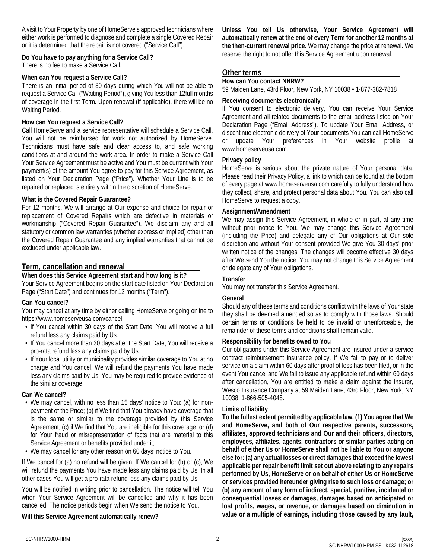A visit to Your Property by one of HomeServe's approved technicians where either work is performed to diagnose and complete a single Covered Repair or it is determined that the repair is not covered ("Service Call").

# **Do You have to pay anything for a Service Call?**

There is no fee to make a Service Call.

### **When can You request a Service Call?**

There is an initial period of 30 days during which You will not be able to request a Service Call ("Waiting Period"), giving You less than 12full months of coverage in the first Term. Upon renewal (if applicable), there will be no Waiting Period.

### **How can You request a Service Call?**

Call HomeServe and a service representative will schedule a Service Call. You will not be reimbursed for work not authorized by HomeServe. Technicians must have safe and clear access to, and safe working conditions at and around the work area. In order to make a Service Call Your Service Agreement must be active and You must be current with Your payment(s) of the amount You agree to pay for this Service Agreement, as listed on Your Declaration Page ("Price"). Whether Your Line is to be repaired or replaced is entirely within the discretion of HomeServe.

### **What is the Covered Repair Guarantee?**

For 12 months, We will arrange at Our expense and choice for repair or replacement of Covered Repairs which are defective in materials or workmanship ("Covered Repair Guarantee"). We disclaim any and all statutory or common law warranties (whether express or implied) other than the Covered Repair Guarantee and any implied warranties that cannot be excluded under applicable law.

### **Term, cancellation and renewal**

**When does this Service Agreement start and how long is it?** Your Service Agreement begins on the start date listed on Your Declaration Page ("Start Date") and continues for 12 months ("Term").

### **Can You cancel?**

You may cancel at any time by either calling HomeServe or going online to https://www.homeserveusa.com/cancel.

- If You cancel within 30 days of the Start Date, You will receive a full refund less any claims paid by Us.
- If You cancel more than 30 days after the Start Date, You will receive a pro-rata refund less any claims paid by Us.
- If Your local utility or municipality provides similar coverage to You at no charge and You cancel, We will refund the payments You have made less any claims paid by Us. You may be required to provide evidence of the similar coverage.

### **Can We cancel?**

• We may cancel, with no less than 15 days' notice to You: (a) for nonpayment of the Price; (b) if We find that You already have coverage that is the same or similar to the coverage provided by this Service Agreement; (c) if We find that You are ineligible for this coverage; or (d) for Your fraud or misrepresentation of facts that are material to this Service Agreement or benefits provided under it;

• We may cancel for any other reason on 60 days' notice to You.

If We cancel for (a) no refund will be given. If We cancel for (b) or (c), We will refund the payments You have made less any claims paid by Us. In all other cases You will get a pro-rata refund less any claims paid by Us.

You will be notified in writing prior to cancellation. The notice will tell You when Your Service Agreement will be cancelled and why it has been cancelled. The notice periods begin when We send the notice to You.

### **Will this Service Agreement automatically renew?**

**Unless You tell Us otherwise, Your Service Agreement will automatically renew at the end of every Term for another 12 months at the then-current renewal price.** We may change the price at renewal. We reserve the right to not offer this Service Agreement upon renewal.

### **Other terms**

**How can You contact NHRW?**

59 Maiden Lane, 43rd Floor, New York, NY 10038 • 1-877-382-7818

### **Receiving documents electronically**

If You consent to electronic delivery, You can receive Your Service Agreement and all related documents to the email address listed on Your Declaration Page ("Email Address"). To update Your Email Address, or discontinue electronic delivery of Your documents You can call HomeServe or update Your preferences in Your website profile at www.homeserveusa.com.

### **Privacy policy**

HomeServe is serious about the private nature of Your personal data. Please read their Privacy Policy, a link to which can be found at the bottom of every page at www.homeserveusa.com carefully to fully understand how they collect, share, and protect personal data about You. You can also call HomeServe to request a copy.

### **Assignment/Amendment**

We may assign this Service Agreement, in whole or in part, at any time without prior notice to You. We may change this Service Agreement (including the Price) and delegate any of Our obligations at Our sole discretion and without Your consent provided We give You 30 days' prior written notice of the changes. The changes will become effective 30 days after We send You the notice. You may not change this Service Agreement or delegate any of Your obligations.

### **Transfer**

You may not transfer this Service Agreement.

### **General**

Should any of these terms and conditions conflict with the laws of Your state they shall be deemed amended so as to comply with those laws. Should certain terms or conditions be held to be invalid or unenforceable, the remainder of these terms and conditions shall remain valid.

### **Responsibility for benefits owed to You**

Our obligations under this Service Agreement are insured under a service contract reimbursement insurance policy. If We fail to pay or to deliver service on a claim within 60 days after proof of loss has been filed, or in the event You cancel and We fail to issue any applicable refund within 60 days after cancellation, You are entitled to make a claim against the insurer, Wesco Insurance Company at 59 Maiden Lane, 43rd Floor, New York, NY 10038, 1-866-505-4048.

### **Limits of liability**

**To the fullest extent permitted by applicable law, (1) You agree that We and HomeServe, and both of Our respective parents, successors, affiliates, approved technicians and Our and their officers, directors, employees, affiliates, agents, contractors or similar parties acting on behalf of either Us or HomeServe shall not be liable to You or anyone else for: (a) any actual losses or direct damages that exceed the lowest applicable per repair benefit limit set out above relating to any repairs performed by Us, HomeServe or on behalf of either Us or HomeServe or services provided hereunder giving rise to such loss or damage; or (b) any amount of any form of indirect, special, punitive, incidental or consequential losses or damages, damages based on anticipated or lost profits, wages, or revenue, or damages based on diminution in value or a multiple of earnings, including those caused by any fault,**